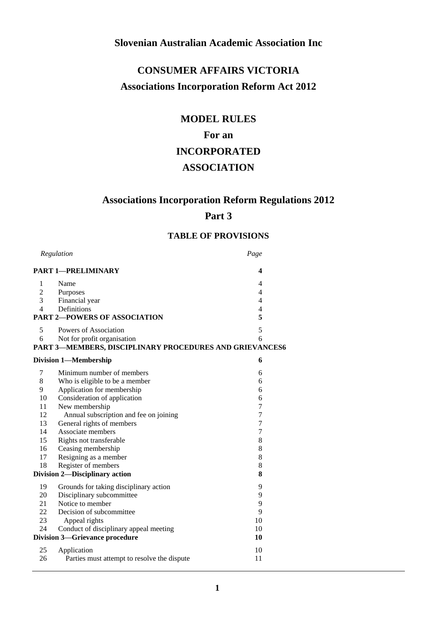## **Slovenian Australian Academic Association Inc**

# **CONSUMER AFFAIRS VICTORIA**

# **Associations Incorporation Reform Act 2012**

# **MODEL RULES For an INCORPORATED ASSOCIATION**

# **Associations Incorporation Reform Regulations 2012**

### **Part 3**

### **TABLE OF PROVISIONS**

| Regulation                            |                                                         | Page                     |
|---------------------------------------|---------------------------------------------------------|--------------------------|
|                                       | <b>PART 1-PRELIMINARY</b>                               | 4                        |
| 1                                     | Name                                                    | 4                        |
| $\overline{2}$                        | Purposes                                                | 4                        |
| 3                                     | Financial year                                          | $\overline{\mathcal{L}}$ |
| $\overline{4}$                        | Definitions                                             | $\overline{4}$           |
|                                       | <b>PART 2-POWERS OF ASSOCIATION</b>                     | 5                        |
| 5                                     | Powers of Association                                   | 5                        |
| 6                                     | Not for profit organisation                             | 6                        |
|                                       | PART 3-MEMBERS, DISCIPLINARY PROCEDURES AND GRIEVANCES6 |                          |
| <b>Division 1-Membership</b>          |                                                         | 6                        |
| 7                                     | Minimum number of members                               | 6                        |
| 8                                     | Who is eligible to be a member                          | 6                        |
| 9                                     | Application for membership                              | 6                        |
| 10                                    | Consideration of application                            | 6                        |
| 11                                    | New membership                                          | 7                        |
| 12                                    | Annual subscription and fee on joining                  | $\overline{7}$           |
| 13                                    | General rights of members                               | $\overline{7}$           |
| 14                                    | Associate members                                       | $\overline{7}$           |
| 15                                    | Rights not transferable                                 | 8                        |
| 16                                    | Ceasing membership                                      | 8                        |
| 17                                    | Resigning as a member                                   | 8                        |
| 18                                    | Register of members                                     | 8                        |
|                                       | Division 2-Disciplinary action                          | 8                        |
| 19                                    | Grounds for taking disciplinary action                  | 9                        |
| 20                                    | Disciplinary subcommittee                               | 9                        |
| 21                                    | Notice to member                                        | 9                        |
| 22                                    | Decision of subcommittee                                | 9                        |
| 23                                    | Appeal rights                                           | 10                       |
| 24                                    | Conduct of disciplinary appeal meeting                  | 10                       |
| <b>Division 3-Grievance procedure</b> |                                                         | 10                       |
| 25                                    | Application                                             | 10                       |
| 26                                    | Parties must attempt to resolve the dispute             | 11                       |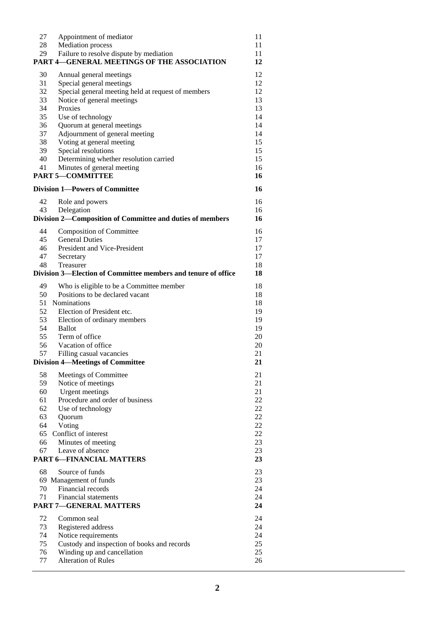| 27<br>28<br>29                              | Appointment of mediator<br><b>Mediation</b> process<br>Failure to resolve dispute by mediation | 11<br>11<br>11 |  |
|---------------------------------------------|------------------------------------------------------------------------------------------------|----------------|--|
|                                             | PART 4-GENERAL MEETINGS OF THE ASSOCIATION                                                     | 12             |  |
| 30                                          | Annual general meetings                                                                        | 12             |  |
| 31                                          | Special general meetings                                                                       | 12             |  |
| 32                                          | Special general meeting held at request of members                                             | 12             |  |
| 33                                          | Notice of general meetings                                                                     | 13             |  |
| 34                                          | Proxies                                                                                        | 13             |  |
| 35<br>36                                    | Use of technology                                                                              | 14<br>14       |  |
| 37                                          | Quorum at general meetings<br>Adjournment of general meeting                                   | 14             |  |
| 38                                          | Voting at general meeting                                                                      | 15             |  |
| 39                                          | Special resolutions                                                                            | 15             |  |
| 40                                          | Determining whether resolution carried                                                         | 15             |  |
| 41                                          | Minutes of general meeting                                                                     | 16             |  |
|                                             | <b>PART 5-COMMITTEE</b>                                                                        | 16             |  |
| <b>Division 1-Powers of Committee</b><br>16 |                                                                                                |                |  |
| 42                                          | Role and powers                                                                                | 16             |  |
| 43                                          | Delegation                                                                                     | 16             |  |
|                                             | Division 2-Composition of Committee and duties of members                                      | 16             |  |
| 44                                          | <b>Composition of Committee</b>                                                                | 16             |  |
| 45                                          | <b>General Duties</b>                                                                          | 17             |  |
| 46                                          | President and Vice-President                                                                   | 17             |  |
| 47                                          | Secretary                                                                                      | 17             |  |
| 48                                          | Treasurer                                                                                      | 18             |  |
|                                             | Division 3—Election of Committee members and tenure of office                                  | 18             |  |
| 49                                          | Who is eligible to be a Committee member                                                       | 18             |  |
| 50                                          | Positions to be declared vacant                                                                | 18             |  |
| 51                                          | <b>Nominations</b>                                                                             | 18             |  |
| 52                                          | Election of President etc.                                                                     | 19             |  |
| 53                                          | Election of ordinary members                                                                   | 19             |  |
| 54                                          | <b>Ballot</b>                                                                                  | 19             |  |
| 55                                          | Term of office                                                                                 | 20             |  |
| 56<br>57                                    | Vacation of office                                                                             | 20<br>21       |  |
|                                             | Filling casual vacancies<br><b>Division 4-Meetings of Committee</b>                            | 21             |  |
| 58                                          |                                                                                                | 21             |  |
| 59                                          | Meetings of Committee<br>Notice of meetings                                                    | 21             |  |
| 60                                          | Urgent meetings                                                                                | 21             |  |
| 61                                          | Procedure and order of business                                                                | 22             |  |
| 62                                          | Use of technology                                                                              | 22             |  |
| 63                                          | Quorum                                                                                         | 22             |  |
| 64                                          | Voting                                                                                         | 22             |  |
| 65                                          | Conflict of interest                                                                           | 22             |  |
| 66                                          | Minutes of meeting                                                                             | 23             |  |
| 67                                          | Leave of absence                                                                               | 23             |  |
|                                             | <b>PART 6-FINANCIAL MATTERS</b>                                                                | 23             |  |
| 68                                          | Source of funds                                                                                | 23             |  |
|                                             | 69 Management of funds                                                                         | 23             |  |
| 70                                          | Financial records                                                                              | 24             |  |
| 71                                          | Financial statements<br><b>PART 7-GENERAL MATTERS</b>                                          | 24<br>24       |  |
|                                             |                                                                                                |                |  |
| 72<br>73                                    | Common seal<br>Registered address                                                              | 24<br>24       |  |
| 74                                          | Notice requirements                                                                            | 24             |  |
| 75                                          | Custody and inspection of books and records                                                    | 25             |  |
| 76                                          | Winding up and cancellation                                                                    | 25             |  |
| 77                                          | <b>Alteration of Rules</b>                                                                     | 26             |  |
|                                             |                                                                                                |                |  |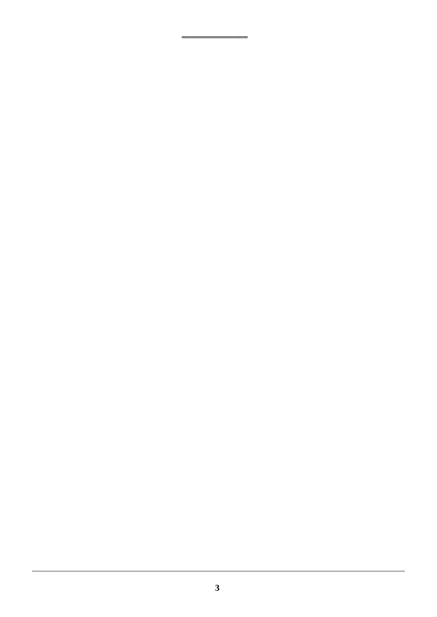$\overline{\mathbf{3}}$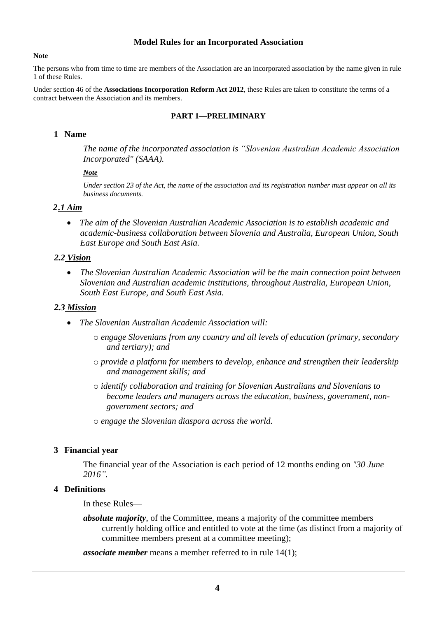#### **Model Rules for an Incorporated Association**

#### **Note**

The persons who from time to time are members of the Association are an incorporated association by the name given in rule 1 of these Rules.

Under section 46 of the **Associations Incorporation Reform Act 2012**, these Rules are taken to constitute the terms of a contract between the Association and its members.

#### **PART 1—PRELIMINARY**

### **1 Name**

*The name of the incorporated association is "Slovenian Australian Academic Association Incorporated" (SAAA).*

#### *Note*

*Under section 23 of the Act, the name of the association and its registration number must appear on all its business documents.*

### *2.1 Aim*

 *The aim of the Slovenian Australian Academic Association is to establish academic and academic-business collaboration between Slovenia and Australia, European Union, South East Europe and South East Asia.*

#### *2.2 Vision*

 *The Slovenian Australian Academic Association will be the main connection point between Slovenian and Australian academic institutions, throughout Australia, European Union, South East Europe, and South East Asia.* 

#### *2.3 Mission*

- *The Slovenian Australian Academic Association will:*
	- o *engage Slovenians from any country and all levels of education (primary, secondary and tertiary); and*
	- o *provide a platform for members to develop, enhance and strengthen their leadership and management skills; and*
	- o *identify collaboration and training for Slovenian Australians and Slovenians to become leaders and managers across the education, business, government, nongovernment sectors; and*
	- o *engage the Slovenian diaspora across the world.*

#### **3 Financial year**

The financial year of the Association is each period of 12 months ending on *"30 June 2016".*

#### **4 Definitions**

In these Rules—

*absolute majority*, of the Committee, means a majority of the committee members currently holding office and entitled to vote at the time (as distinct from a majority of committee members present at a committee meeting);

*associate member* means a member referred to in rule 14(1);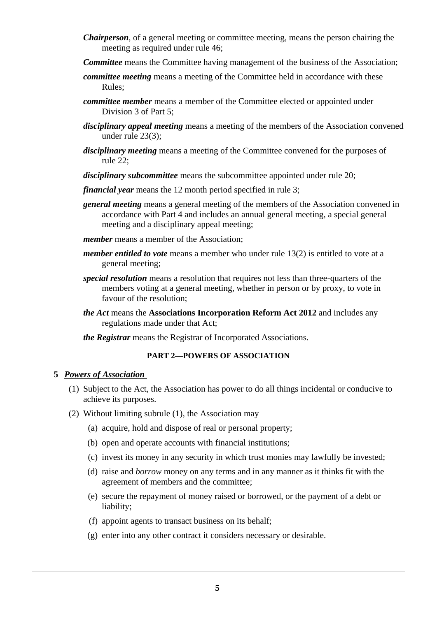- *Chairperson*, of a general meeting or committee meeting, means the person chairing the meeting as required under rule 46;
- *Committee* means the Committee having management of the business of the Association;
- *committee meeting* means a meeting of the Committee held in accordance with these Rules;
- *committee member* means a member of the Committee elected or appointed under Division 3 of Part 5;
- *disciplinary appeal meeting* means a meeting of the members of the Association convened under rule 23(3);
- *disciplinary meeting* means a meeting of the Committee convened for the purposes of rule 22;
- *disciplinary subcommittee* means the subcommittee appointed under rule 20;

*financial year* means the 12 month period specified in rule 3;

- *general meeting* means a general meeting of the members of the Association convened in accordance with Part 4 and includes an annual general meeting, a special general meeting and a disciplinary appeal meeting;
- *member* means a member of the Association:
- *member entitled to vote* means a member who under rule 13(2) is entitled to vote at a general meeting;
- *special resolution* means a resolution that requires not less than three-quarters of the members voting at a general meeting, whether in person or by proxy, to vote in favour of the resolution;
- *the Act* means the **Associations Incorporation Reform Act 2012** and includes any regulations made under that Act;
- *the Registrar* means the Registrar of Incorporated Associations.

#### **PART 2—POWERS OF ASSOCIATION**

### **5** *Powers of Association*

- (1) Subject to the Act, the Association has power to do all things incidental or conducive to achieve its purposes.
- (2) Without limiting subrule (1), the Association may
	- (a) acquire, hold and dispose of real or personal property;
	- (b) open and operate accounts with financial institutions;
	- (c) invest its money in any security in which trust monies may lawfully be invested;
	- (d) raise and *borrow* money on any terms and in any manner as it thinks fit with the agreement of members and the committee;
	- (e) secure the repayment of money raised or borrowed, or the payment of a debt or liability;
	- (f) appoint agents to transact business on its behalf;
	- (g) enter into any other contract it considers necessary or desirable.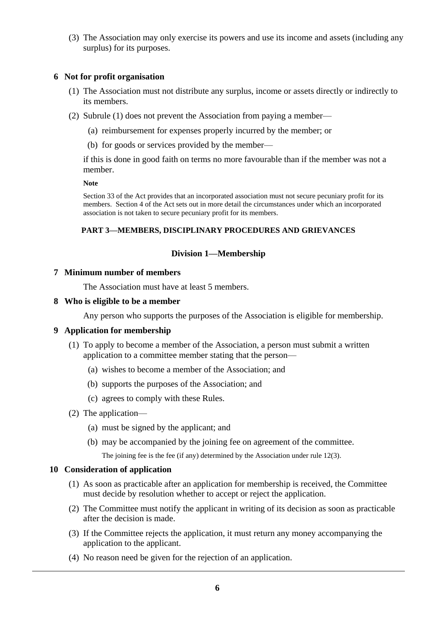(3) The Association may only exercise its powers and use its income and assets (including any surplus) for its purposes.

### **6 Not for profit organisation**

- (1) The Association must not distribute any surplus, income or assets directly or indirectly to its members.
- (2) Subrule (1) does not prevent the Association from paying a member—
	- (a) reimbursement for expenses properly incurred by the member; or
	- (b) for goods or services provided by the member—

if this is done in good faith on terms no more favourable than if the member was not a member.

**Note**

Section 33 of the Act provides that an incorporated association must not secure pecuniary profit for its members. Section 4 of the Act sets out in more detail the circumstances under which an incorporated association is not taken to secure pecuniary profit for its members.

### **PART 3—MEMBERS, DISCIPLINARY PROCEDURES AND GRIEVANCES**

### **Division 1—Membership**

### **7 Minimum number of members**

The Association must have at least 5 members.

#### **8 Who is eligible to be a member**

Any person who supports the purposes of the Association is eligible for membership.

### **9 Application for membership**

- (1) To apply to become a member of the Association, a person must submit a written application to a committee member stating that the person—
	- (a) wishes to become a member of the Association; and
	- (b) supports the purposes of the Association; and
	- (c) agrees to comply with these Rules.
- (2) The application—
	- (a) must be signed by the applicant; and
	- (b) may be accompanied by the joining fee on agreement of the committee.

The joining fee is the fee (if any) determined by the Association under rule 12(3).

### **10 Consideration of application**

- (1) As soon as practicable after an application for membership is received, the Committee must decide by resolution whether to accept or reject the application.
- (2) The Committee must notify the applicant in writing of its decision as soon as practicable after the decision is made.
- (3) If the Committee rejects the application, it must return any money accompanying the application to the applicant.
- (4) No reason need be given for the rejection of an application.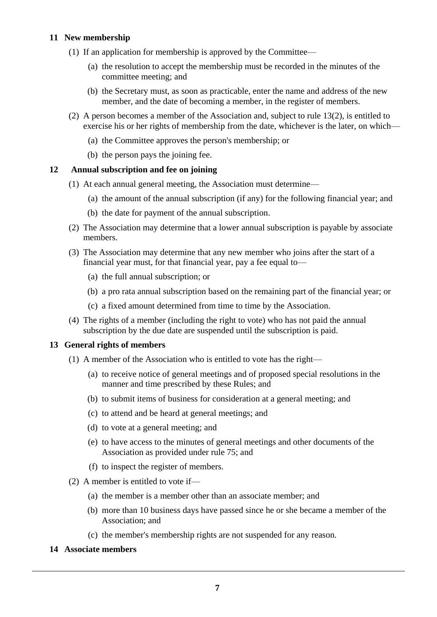### **11 New membership**

- (1) If an application for membership is approved by the Committee—
	- (a) the resolution to accept the membership must be recorded in the minutes of the committee meeting; and
	- (b) the Secretary must, as soon as practicable, enter the name and address of the new member, and the date of becoming a member, in the register of members.
- (2) A person becomes a member of the Association and, subject to rule 13(2), is entitled to exercise his or her rights of membership from the date, whichever is the later, on which—
	- (a) the Committee approves the person's membership; or
	- (b) the person pays the joining fee.

### **12 Annual subscription and fee on joining**

- (1) At each annual general meeting, the Association must determine—
	- (a) the amount of the annual subscription (if any) for the following financial year; and
	- (b) the date for payment of the annual subscription.
- (2) The Association may determine that a lower annual subscription is payable by associate members.
- (3) The Association may determine that any new member who joins after the start of a financial year must, for that financial year, pay a fee equal to—
	- (a) the full annual subscription; or
	- (b) a pro rata annual subscription based on the remaining part of the financial year; or
	- (c) a fixed amount determined from time to time by the Association.
- (4) The rights of a member (including the right to vote) who has not paid the annual subscription by the due date are suspended until the subscription is paid.

#### **13 General rights of members**

- (1) A member of the Association who is entitled to vote has the right—
	- (a) to receive notice of general meetings and of proposed special resolutions in the manner and time prescribed by these Rules; and
	- (b) to submit items of business for consideration at a general meeting; and
	- (c) to attend and be heard at general meetings; and
	- (d) to vote at a general meeting; and
	- (e) to have access to the minutes of general meetings and other documents of the Association as provided under rule 75; and
	- (f) to inspect the register of members.
- (2) A member is entitled to vote if—
	- (a) the member is a member other than an associate member; and
	- (b) more than 10 business days have passed since he or she became a member of the Association; and
	- (c) the member's membership rights are not suspended for any reason.
- **14 Associate members**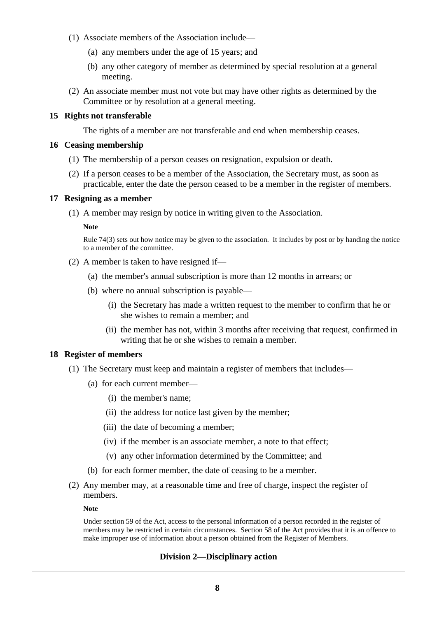- (1) Associate members of the Association include—
	- (a) any members under the age of 15 years; and
	- (b) any other category of member as determined by special resolution at a general meeting.
- (2) An associate member must not vote but may have other rights as determined by the Committee or by resolution at a general meeting.

#### **15 Rights not transferable**

The rights of a member are not transferable and end when membership ceases.

#### **16 Ceasing membership**

- (1) The membership of a person ceases on resignation, expulsion or death.
- (2) If a person ceases to be a member of the Association, the Secretary must, as soon as practicable, enter the date the person ceased to be a member in the register of members.

#### **17 Resigning as a member**

(1) A member may resign by notice in writing given to the Association.

#### **Note**

Rule 74(3) sets out how notice may be given to the association. It includes by post or by handing the notice to a member of the committee.

- (2) A member is taken to have resigned if—
	- (a) the member's annual subscription is more than 12 months in arrears; or
	- (b) where no annual subscription is payable—
		- (i) the Secretary has made a written request to the member to confirm that he or she wishes to remain a member; and
		- (ii) the member has not, within 3 months after receiving that request, confirmed in writing that he or she wishes to remain a member.

#### **18 Register of members**

- (1) The Secretary must keep and maintain a register of members that includes—
	- (a) for each current member—
		- (i) the member's name;
		- (ii) the address for notice last given by the member;
		- (iii) the date of becoming a member;
		- (iv) if the member is an associate member, a note to that effect;
		- (v) any other information determined by the Committee; and
	- (b) for each former member, the date of ceasing to be a member.
- (2) Any member may, at a reasonable time and free of charge, inspect the register of members.

#### **Note**

Under section 59 of the Act, access to the personal information of a person recorded in the register of members may be restricted in certain circumstances. Section 58 of the Act provides that it is an offence to make improper use of information about a person obtained from the Register of Members.

### **Division 2—Disciplinary action**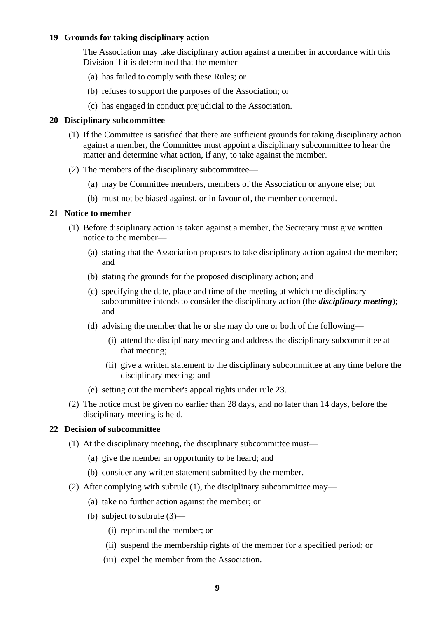### **19 Grounds for taking disciplinary action**

The Association may take disciplinary action against a member in accordance with this Division if it is determined that the member—

- (a) has failed to comply with these Rules; or
- (b) refuses to support the purposes of the Association; or
- (c) has engaged in conduct prejudicial to the Association.

#### **20 Disciplinary subcommittee**

- (1) If the Committee is satisfied that there are sufficient grounds for taking disciplinary action against a member, the Committee must appoint a disciplinary subcommittee to hear the matter and determine what action, if any, to take against the member.
- (2) The members of the disciplinary subcommittee—
	- (a) may be Committee members, members of the Association or anyone else; but
	- (b) must not be biased against, or in favour of, the member concerned.

### **21 Notice to member**

- (1) Before disciplinary action is taken against a member, the Secretary must give written notice to the member—
	- (a) stating that the Association proposes to take disciplinary action against the member; and
	- (b) stating the grounds for the proposed disciplinary action; and
	- (c) specifying the date, place and time of the meeting at which the disciplinary subcommittee intends to consider the disciplinary action (the *disciplinary meeting*); and
	- (d) advising the member that he or she may do one or both of the following—
		- (i) attend the disciplinary meeting and address the disciplinary subcommittee at that meeting;
		- (ii) give a written statement to the disciplinary subcommittee at any time before the disciplinary meeting; and
	- (e) setting out the member's appeal rights under rule 23.
- (2) The notice must be given no earlier than 28 days, and no later than 14 days, before the disciplinary meeting is held.

### **22 Decision of subcommittee**

- (1) At the disciplinary meeting, the disciplinary subcommittee must—
	- (a) give the member an opportunity to be heard; and
	- (b) consider any written statement submitted by the member.
- (2) After complying with subrule (1), the disciplinary subcommittee may—
	- (a) take no further action against the member; or
	- (b) subject to subrule (3)—
		- (i) reprimand the member; or
		- (ii) suspend the membership rights of the member for a specified period; or
		- (iii) expel the member from the Association.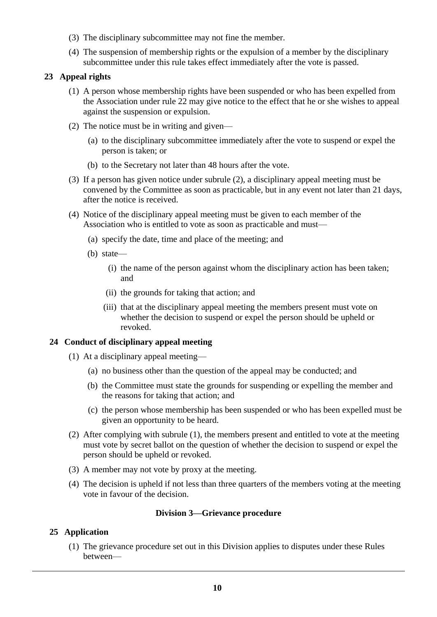- (3) The disciplinary subcommittee may not fine the member.
- (4) The suspension of membership rights or the expulsion of a member by the disciplinary subcommittee under this rule takes effect immediately after the vote is passed.

### **23 Appeal rights**

- (1) A person whose membership rights have been suspended or who has been expelled from the Association under rule 22 may give notice to the effect that he or she wishes to appeal against the suspension or expulsion.
- (2) The notice must be in writing and given—
	- (a) to the disciplinary subcommittee immediately after the vote to suspend or expel the person is taken; or
	- (b) to the Secretary not later than 48 hours after the vote.
- (3) If a person has given notice under subrule (2), a disciplinary appeal meeting must be convened by the Committee as soon as practicable, but in any event not later than 21 days, after the notice is received.
- (4) Notice of the disciplinary appeal meeting must be given to each member of the Association who is entitled to vote as soon as practicable and must—
	- (a) specify the date, time and place of the meeting; and
	- (b) state—
		- (i) the name of the person against whom the disciplinary action has been taken; and
		- (ii) the grounds for taking that action; and
		- (iii) that at the disciplinary appeal meeting the members present must vote on whether the decision to suspend or expel the person should be upheld or revoked.

### **24 Conduct of disciplinary appeal meeting**

- (1) At a disciplinary appeal meeting—
	- (a) no business other than the question of the appeal may be conducted; and
	- (b) the Committee must state the grounds for suspending or expelling the member and the reasons for taking that action; and
	- (c) the person whose membership has been suspended or who has been expelled must be given an opportunity to be heard.
- (2) After complying with subrule (1), the members present and entitled to vote at the meeting must vote by secret ballot on the question of whether the decision to suspend or expel the person should be upheld or revoked.
- (3) A member may not vote by proxy at the meeting.
- (4) The decision is upheld if not less than three quarters of the members voting at the meeting vote in favour of the decision.

### **Division 3—Grievance procedure**

### **25 Application**

(1) The grievance procedure set out in this Division applies to disputes under these Rules between—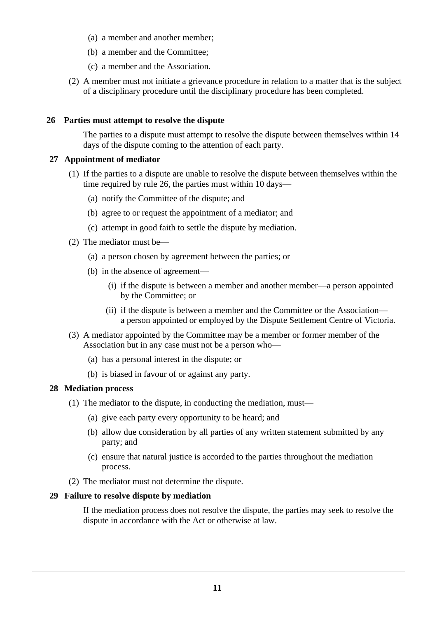- (a) a member and another member;
- (b) a member and the Committee;
- (c) a member and the Association.
- (2) A member must not initiate a grievance procedure in relation to a matter that is the subject of a disciplinary procedure until the disciplinary procedure has been completed.

### **26 Parties must attempt to resolve the dispute**

The parties to a dispute must attempt to resolve the dispute between themselves within 14 days of the dispute coming to the attention of each party.

### **27 Appointment of mediator**

- (1) If the parties to a dispute are unable to resolve the dispute between themselves within the time required by rule 26, the parties must within 10 days—
	- (a) notify the Committee of the dispute; and
	- (b) agree to or request the appointment of a mediator; and
	- (c) attempt in good faith to settle the dispute by mediation.
- (2) The mediator must be—
	- (a) a person chosen by agreement between the parties; or
	- (b) in the absence of agreement—
		- (i) if the dispute is between a member and another member—a person appointed by the Committee; or
		- (ii) if the dispute is between a member and the Committee or the Association a person appointed or employed by the Dispute Settlement Centre of Victoria.
- (3) A mediator appointed by the Committee may be a member or former member of the Association but in any case must not be a person who—
	- (a) has a personal interest in the dispute; or
	- (b) is biased in favour of or against any party.

### **28 Mediation process**

- (1) The mediator to the dispute, in conducting the mediation, must—
	- (a) give each party every opportunity to be heard; and
	- (b) allow due consideration by all parties of any written statement submitted by any party; and
	- (c) ensure that natural justice is accorded to the parties throughout the mediation process.
- (2) The mediator must not determine the dispute.

### **29 Failure to resolve dispute by mediation**

If the mediation process does not resolve the dispute, the parties may seek to resolve the dispute in accordance with the Act or otherwise at law.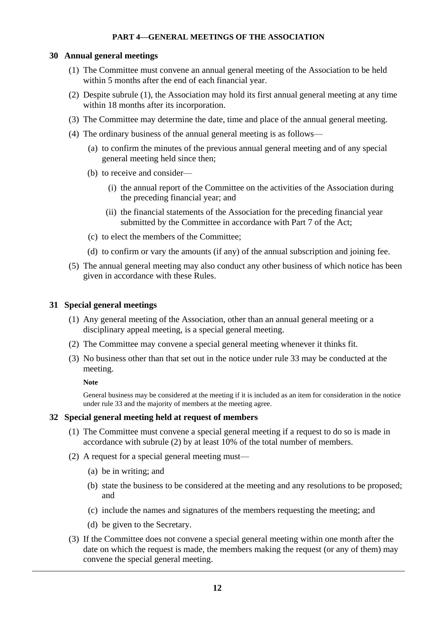#### **PART 4—GENERAL MEETINGS OF THE ASSOCIATION**

#### **30 Annual general meetings**

- (1) The Committee must convene an annual general meeting of the Association to be held within 5 months after the end of each financial year.
- (2) Despite subrule (1), the Association may hold its first annual general meeting at any time within 18 months after its incorporation.
- (3) The Committee may determine the date, time and place of the annual general meeting.
- (4) The ordinary business of the annual general meeting is as follows—
	- (a) to confirm the minutes of the previous annual general meeting and of any special general meeting held since then;
	- (b) to receive and consider—
		- (i) the annual report of the Committee on the activities of the Association during the preceding financial year; and
		- (ii) the financial statements of the Association for the preceding financial year submitted by the Committee in accordance with Part 7 of the Act;
	- (c) to elect the members of the Committee;
	- (d) to confirm or vary the amounts (if any) of the annual subscription and joining fee.
- (5) The annual general meeting may also conduct any other business of which notice has been given in accordance with these Rules.

#### **31 Special general meetings**

- (1) Any general meeting of the Association, other than an annual general meeting or a disciplinary appeal meeting, is a special general meeting.
- (2) The Committee may convene a special general meeting whenever it thinks fit.
- (3) No business other than that set out in the notice under rule 33 may be conducted at the meeting.

#### **Note**

General business may be considered at the meeting if it is included as an item for consideration in the notice under rule 33 and the majority of members at the meeting agree.

#### **32 Special general meeting held at request of members**

- (1) The Committee must convene a special general meeting if a request to do so is made in accordance with subrule (2) by at least 10% of the total number of members.
- (2) A request for a special general meeting must—
	- (a) be in writing; and
	- (b) state the business to be considered at the meeting and any resolutions to be proposed; and
	- (c) include the names and signatures of the members requesting the meeting; and
	- (d) be given to the Secretary.
- (3) If the Committee does not convene a special general meeting within one month after the date on which the request is made, the members making the request (or any of them) may convene the special general meeting.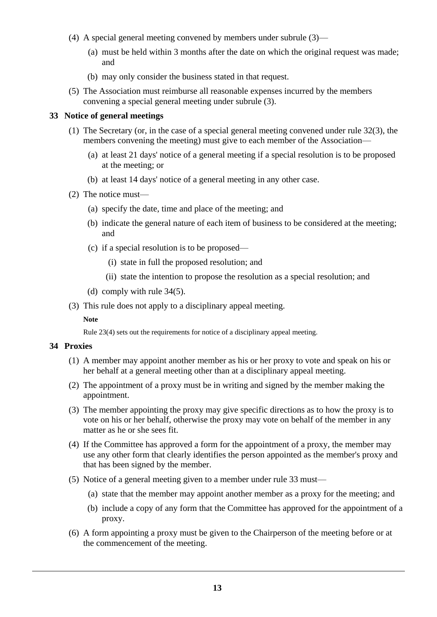- (4) A special general meeting convened by members under subrule (3)—
	- (a) must be held within 3 months after the date on which the original request was made; and
	- (b) may only consider the business stated in that request.
- (5) The Association must reimburse all reasonable expenses incurred by the members convening a special general meeting under subrule (3).

#### **33 Notice of general meetings**

- (1) The Secretary (or, in the case of a special general meeting convened under rule 32(3), the members convening the meeting) must give to each member of the Association—
	- (a) at least 21 days' notice of a general meeting if a special resolution is to be proposed at the meeting; or
	- (b) at least 14 days' notice of a general meeting in any other case.
- (2) The notice must—
	- (a) specify the date, time and place of the meeting; and
	- (b) indicate the general nature of each item of business to be considered at the meeting; and
	- (c) if a special resolution is to be proposed—
		- (i) state in full the proposed resolution; and
		- (ii) state the intention to propose the resolution as a special resolution; and
	- (d) comply with rule 34(5).
- (3) This rule does not apply to a disciplinary appeal meeting.

**Note**

Rule 23(4) sets out the requirements for notice of a disciplinary appeal meeting.

#### **34 Proxies**

- (1) A member may appoint another member as his or her proxy to vote and speak on his or her behalf at a general meeting other than at a disciplinary appeal meeting.
- (2) The appointment of a proxy must be in writing and signed by the member making the appointment.
- (3) The member appointing the proxy may give specific directions as to how the proxy is to vote on his or her behalf, otherwise the proxy may vote on behalf of the member in any matter as he or she sees fit.
- (4) If the Committee has approved a form for the appointment of a proxy, the member may use any other form that clearly identifies the person appointed as the member's proxy and that has been signed by the member.
- (5) Notice of a general meeting given to a member under rule 33 must—
	- (a) state that the member may appoint another member as a proxy for the meeting; and
	- (b) include a copy of any form that the Committee has approved for the appointment of a proxy.
- (6) A form appointing a proxy must be given to the Chairperson of the meeting before or at the commencement of the meeting.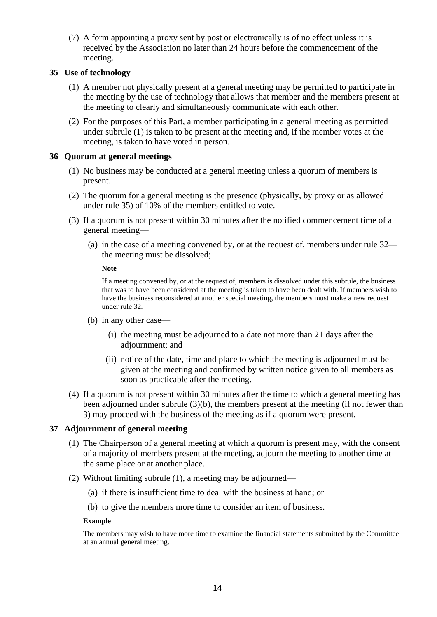(7) A form appointing a proxy sent by post or electronically is of no effect unless it is received by the Association no later than 24 hours before the commencement of the meeting.

### **35 Use of technology**

- (1) A member not physically present at a general meeting may be permitted to participate in the meeting by the use of technology that allows that member and the members present at the meeting to clearly and simultaneously communicate with each other.
- (2) For the purposes of this Part, a member participating in a general meeting as permitted under subrule (1) is taken to be present at the meeting and, if the member votes at the meeting, is taken to have voted in person.

### **36 Quorum at general meetings**

- (1) No business may be conducted at a general meeting unless a quorum of members is present.
- (2) The quorum for a general meeting is the presence (physically, by proxy or as allowed under rule 35) of 10% of the members entitled to vote.
- (3) If a quorum is not present within 30 minutes after the notified commencement time of a general meeting—
	- (a) in the case of a meeting convened by, or at the request of, members under rule 32 the meeting must be dissolved;

### **Note**

If a meeting convened by, or at the request of, members is dissolved under this subrule, the business that was to have been considered at the meeting is taken to have been dealt with. If members wish to have the business reconsidered at another special meeting, the members must make a new request under rule 32.

- (b) in any other case—
	- (i) the meeting must be adjourned to a date not more than 21 days after the adjournment; and
	- (ii) notice of the date, time and place to which the meeting is adjourned must be given at the meeting and confirmed by written notice given to all members as soon as practicable after the meeting.
- (4) If a quorum is not present within 30 minutes after the time to which a general meeting has been adjourned under subrule (3)(b), the members present at the meeting (if not fewer than 3) may proceed with the business of the meeting as if a quorum were present.

### **37 Adjournment of general meeting**

- (1) The Chairperson of a general meeting at which a quorum is present may, with the consent of a majority of members present at the meeting, adjourn the meeting to another time at the same place or at another place.
- (2) Without limiting subrule (1), a meeting may be adjourned—
	- (a) if there is insufficient time to deal with the business at hand; or
	- (b) to give the members more time to consider an item of business.

### **Example**

The members may wish to have more time to examine the financial statements submitted by the Committee at an annual general meeting.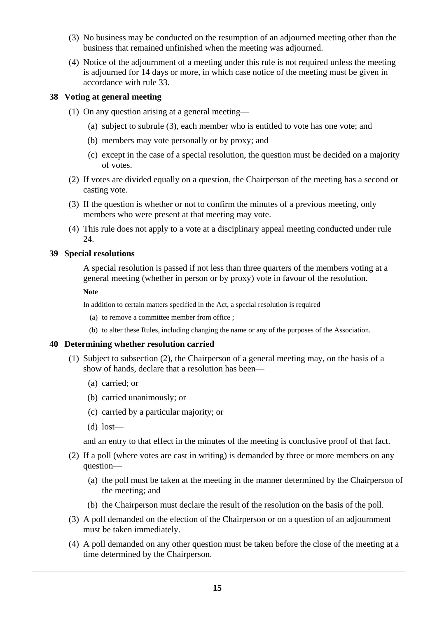- (3) No business may be conducted on the resumption of an adjourned meeting other than the business that remained unfinished when the meeting was adjourned.
- (4) Notice of the adjournment of a meeting under this rule is not required unless the meeting is adjourned for 14 days or more, in which case notice of the meeting must be given in accordance with rule 33.

### **38 Voting at general meeting**

- (1) On any question arising at a general meeting—
	- (a) subject to subrule (3), each member who is entitled to vote has one vote; and
	- (b) members may vote personally or by proxy; and
	- (c) except in the case of a special resolution, the question must be decided on a majority of votes.
- (2) If votes are divided equally on a question, the Chairperson of the meeting has a second or casting vote.
- (3) If the question is whether or not to confirm the minutes of a previous meeting, only members who were present at that meeting may vote.
- (4) This rule does not apply to a vote at a disciplinary appeal meeting conducted under rule 24.

### **39 Special resolutions**

A special resolution is passed if not less than three quarters of the members voting at a general meeting (whether in person or by proxy) vote in favour of the resolution.

**Note**

In addition to certain matters specified in the Act, a special resolution is required—

- (a) to remove a committee member from office ;
- (b) to alter these Rules, including changing the name or any of the purposes of the Association.

#### **40 Determining whether resolution carried**

- (1) Subject to subsection (2), the Chairperson of a general meeting may, on the basis of a show of hands, declare that a resolution has been-
	- (a) carried; or
	- (b) carried unanimously; or
	- (c) carried by a particular majority; or
	- (d) lost—

and an entry to that effect in the minutes of the meeting is conclusive proof of that fact.

- (2) If a poll (where votes are cast in writing) is demanded by three or more members on any question—
	- (a) the poll must be taken at the meeting in the manner determined by the Chairperson of the meeting; and
	- (b) the Chairperson must declare the result of the resolution on the basis of the poll.
- (3) A poll demanded on the election of the Chairperson or on a question of an adjournment must be taken immediately.
- (4) A poll demanded on any other question must be taken before the close of the meeting at a time determined by the Chairperson.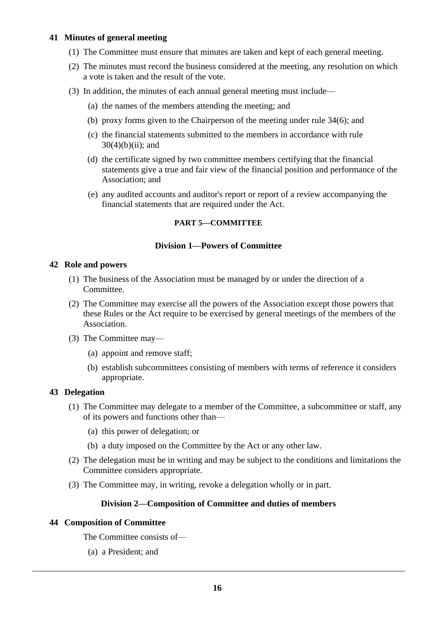### **41 Minutes of general meeting**

- (1) The Committee must ensure that minutes are taken and kept of each general meeting.
- (2) The minutes must record the business considered at the meeting, any resolution on which a vote is taken and the result of the vote.
- (3) In addition, the minutes of each annual general meeting must include—
	- (a) the names of the members attending the meeting; and
	- (b) proxy forms given to the Chairperson of the meeting under rule 34(6); and
	- (c) the financial statements submitted to the members in accordance with rule  $30(4)(b)(ii)$ ; and
	- (d) the certificate signed by two committee members certifying that the financial statements give a true and fair view of the financial position and performance of the Association; and
	- (e) any audited accounts and auditor's report or report of a review accompanying the financial statements that are required under the Act.

### **PART 5—COMMITTEE**

### **Division 1—Powers of Committee**

### **42 Role and powers**

- (1) The business of the Association must be managed by or under the direction of a Committee.
- (2) The Committee may exercise all the powers of the Association except those powers that these Rules or the Act require to be exercised by general meetings of the members of the Association.
- (3) The Committee may—
	- (a) appoint and remove staff;
	- (b) establish subcommittees consisting of members with terms of reference it considers appropriate.

### **43 Delegation**

- (1) The Committee may delegate to a member of the Committee, a subcommittee or staff, any of its powers and functions other than—
	- (a) this power of delegation; or
	- (b) a duty imposed on the Committee by the Act or any other law.
- (2) The delegation must be in writing and may be subject to the conditions and limitations the Committee considers appropriate.
- (3) The Committee may, in writing, revoke a delegation wholly or in part.

### **Division 2—Composition of Committee and duties of members**

### **44 Composition of Committee**

The Committee consists of—

(a) a President; and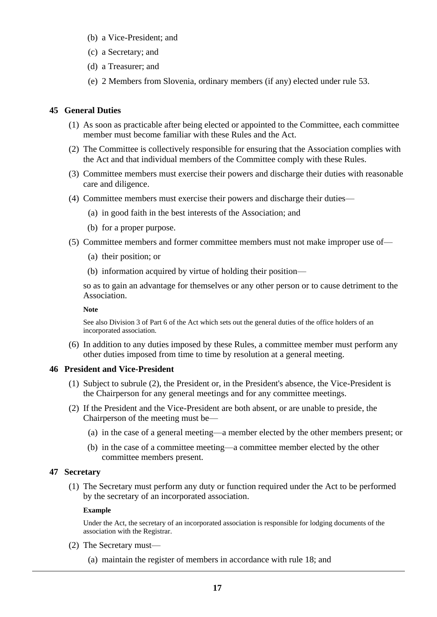- (b) a Vice-President; and
- (c) a Secretary; and
- (d) a Treasurer; and
- (e) 2 Members from Slovenia, ordinary members (if any) elected under rule 53.

### **45 General Duties**

- (1) As soon as practicable after being elected or appointed to the Committee, each committee member must become familiar with these Rules and the Act.
- (2) The Committee is collectively responsible for ensuring that the Association complies with the Act and that individual members of the Committee comply with these Rules.
- (3) Committee members must exercise their powers and discharge their duties with reasonable care and diligence.
- (4) Committee members must exercise their powers and discharge their duties—
	- (a) in good faith in the best interests of the Association; and
	- (b) for a proper purpose.
- (5) Committee members and former committee members must not make improper use of—
	- (a) their position; or
	- (b) information acquired by virtue of holding their position—

so as to gain an advantage for themselves or any other person or to cause detriment to the Association.

**Note**

See also Division 3 of Part 6 of the Act which sets out the general duties of the office holders of an incorporated association.

(6) In addition to any duties imposed by these Rules, a committee member must perform any other duties imposed from time to time by resolution at a general meeting.

### **46 President and Vice-President**

- (1) Subject to subrule (2), the President or, in the President's absence, the Vice-President is the Chairperson for any general meetings and for any committee meetings.
- (2) If the President and the Vice-President are both absent, or are unable to preside, the Chairperson of the meeting must be—
	- (a) in the case of a general meeting—a member elected by the other members present; or
	- (b) in the case of a committee meeting—a committee member elected by the other committee members present.

### **47 Secretary**

(1) The Secretary must perform any duty or function required under the Act to be performed by the secretary of an incorporated association.

### **Example**

Under the Act, the secretary of an incorporated association is responsible for lodging documents of the association with the Registrar.

- (2) The Secretary must—
	- (a) maintain the register of members in accordance with rule 18; and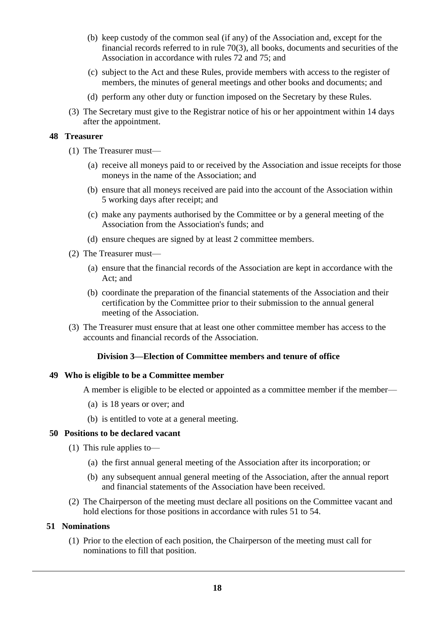- (b) keep custody of the common seal (if any) of the Association and, except for the financial records referred to in rule 70(3), all books, documents and securities of the Association in accordance with rules 72 and 75; and
- (c) subject to the Act and these Rules, provide members with access to the register of members, the minutes of general meetings and other books and documents; and
- (d) perform any other duty or function imposed on the Secretary by these Rules.
- (3) The Secretary must give to the Registrar notice of his or her appointment within 14 days after the appointment.

### **48 Treasurer**

- (1) The Treasurer must—
	- (a) receive all moneys paid to or received by the Association and issue receipts for those moneys in the name of the Association; and
	- (b) ensure that all moneys received are paid into the account of the Association within 5 working days after receipt; and
	- (c) make any payments authorised by the Committee or by a general meeting of the Association from the Association's funds; and
	- (d) ensure cheques are signed by at least 2 committee members.
- (2) The Treasurer must—
	- (a) ensure that the financial records of the Association are kept in accordance with the Act: and
	- (b) coordinate the preparation of the financial statements of the Association and their certification by the Committee prior to their submission to the annual general meeting of the Association.
- (3) The Treasurer must ensure that at least one other committee member has access to the accounts and financial records of the Association.

### **Division 3—Election of Committee members and tenure of office**

#### **49 Who is eligible to be a Committee member**

A member is eligible to be elected or appointed as a committee member if the member—

- (a) is 18 years or over; and
- (b) is entitled to vote at a general meeting.

### **50 Positions to be declared vacant**

- (1) This rule applies to—
	- (a) the first annual general meeting of the Association after its incorporation; or
	- (b) any subsequent annual general meeting of the Association, after the annual report and financial statements of the Association have been received.
- (2) The Chairperson of the meeting must declare all positions on the Committee vacant and hold elections for those positions in accordance with rules 51 to 54.

### **51 Nominations**

(1) Prior to the election of each position, the Chairperson of the meeting must call for nominations to fill that position.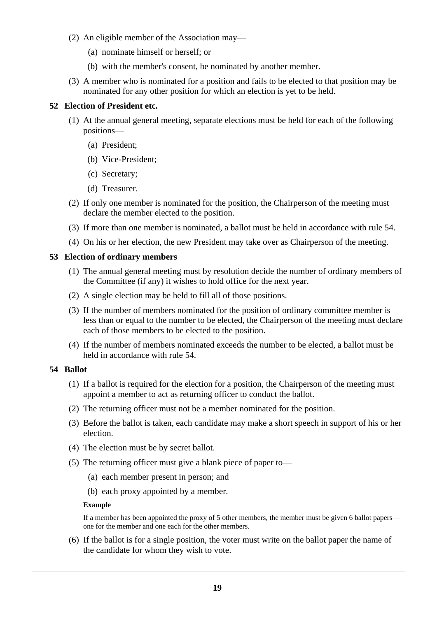- (2) An eligible member of the Association may—
	- (a) nominate himself or herself; or
	- (b) with the member's consent, be nominated by another member.
- (3) A member who is nominated for a position and fails to be elected to that position may be nominated for any other position for which an election is yet to be held.

### **52 Election of President etc.**

- (1) At the annual general meeting, separate elections must be held for each of the following positions—
	- (a) President;
	- (b) Vice-President;
	- (c) Secretary;
	- (d) Treasurer.
- (2) If only one member is nominated for the position, the Chairperson of the meeting must declare the member elected to the position.
- (3) If more than one member is nominated, a ballot must be held in accordance with rule 54.
- (4) On his or her election, the new President may take over as Chairperson of the meeting.

### **53 Election of ordinary members**

- (1) The annual general meeting must by resolution decide the number of ordinary members of the Committee (if any) it wishes to hold office for the next year.
- (2) A single election may be held to fill all of those positions.
- (3) If the number of members nominated for the position of ordinary committee member is less than or equal to the number to be elected, the Chairperson of the meeting must declare each of those members to be elected to the position.
- (4) If the number of members nominated exceeds the number to be elected, a ballot must be held in accordance with rule 54.

### **54 Ballot**

- (1) If a ballot is required for the election for a position, the Chairperson of the meeting must appoint a member to act as returning officer to conduct the ballot.
- (2) The returning officer must not be a member nominated for the position.
- (3) Before the ballot is taken, each candidate may make a short speech in support of his or her election.
- (4) The election must be by secret ballot.
- (5) The returning officer must give a blank piece of paper to—
	- (a) each member present in person; and
	- (b) each proxy appointed by a member.

### **Example**

If a member has been appointed the proxy of 5 other members, the member must be given 6 ballot papers one for the member and one each for the other members.

(6) If the ballot is for a single position, the voter must write on the ballot paper the name of the candidate for whom they wish to vote.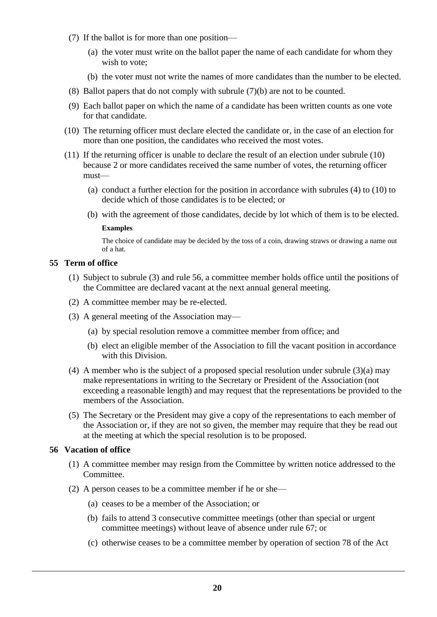- (7) If the ballot is for more than one position—
	- (a) the voter must write on the ballot paper the name of each candidate for whom they wish to vote;
	- (b) the voter must not write the names of more candidates than the number to be elected.
- (8) Ballot papers that do not comply with subrule (7)(b) are not to be counted.
- (9) Each ballot paper on which the name of a candidate has been written counts as one vote for that candidate.
- (10) The returning officer must declare elected the candidate or, in the case of an election for more than one position, the candidates who received the most votes.
- (11) If the returning officer is unable to declare the result of an election under subrule (10) because 2 or more candidates received the same number of votes, the returning officer must—
	- (a) conduct a further election for the position in accordance with subrules (4) to (10) to decide which of those candidates is to be elected; or
	- (b) with the agreement of those candidates, decide by lot which of them is to be elected.

#### **Examples**

The choice of candidate may be decided by the toss of a coin, drawing straws or drawing a name out of a hat.

#### **55 Term of office**

- (1) Subject to subrule (3) and rule 56, a committee member holds office until the positions of the Committee are declared vacant at the next annual general meeting.
- (2) A committee member may be re-elected.
- (3) A general meeting of the Association may—
	- (a) by special resolution remove a committee member from office; and
	- (b) elect an eligible member of the Association to fill the vacant position in accordance with this Division.
- (4) A member who is the subject of a proposed special resolution under subrule (3)(a) may make representations in writing to the Secretary or President of the Association (not exceeding a reasonable length) and may request that the representations be provided to the members of the Association.
- (5) The Secretary or the President may give a copy of the representations to each member of the Association or, if they are not so given, the member may require that they be read out at the meeting at which the special resolution is to be proposed.

### **56 Vacation of office**

- (1) A committee member may resign from the Committee by written notice addressed to the Committee.
- (2) A person ceases to be a committee member if he or she—
	- (a) ceases to be a member of the Association; or
	- (b) fails to attend 3 consecutive committee meetings (other than special or urgent committee meetings) without leave of absence under rule 67; or
	- (c) otherwise ceases to be a committee member by operation of section 78 of the Act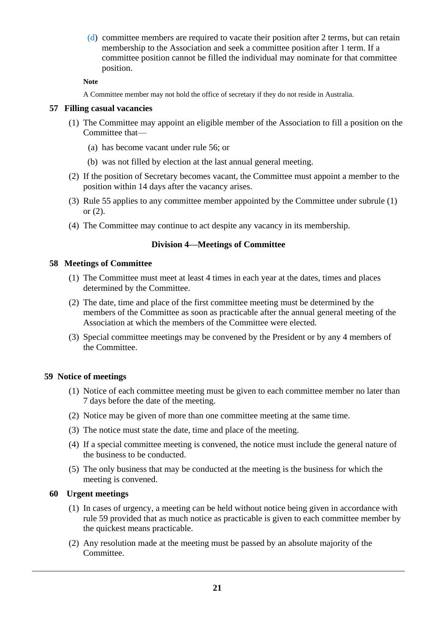(d) committee members are required to vacate their position after 2 terms, but can retain membership to the Association and seek a committee position after 1 term. If a committee position cannot be filled the individual may nominate for that committee position.

#### **Note**

A Committee member may not hold the office of secretary if they do not reside in Australia.

#### **57 Filling casual vacancies**

- (1) The Committee may appoint an eligible member of the Association to fill a position on the Committee that—
	- (a) has become vacant under rule 56; or
	- (b) was not filled by election at the last annual general meeting.
- (2) If the position of Secretary becomes vacant, the Committee must appoint a member to the position within 14 days after the vacancy arises.
- (3) Rule 55 applies to any committee member appointed by the Committee under subrule (1) or (2).
- (4) The Committee may continue to act despite any vacancy in its membership.

### **Division 4—Meetings of Committee**

### **58 Meetings of Committee**

- (1) The Committee must meet at least 4 times in each year at the dates, times and places determined by the Committee.
- (2) The date, time and place of the first committee meeting must be determined by the members of the Committee as soon as practicable after the annual general meeting of the Association at which the members of the Committee were elected.
- (3) Special committee meetings may be convened by the President or by any 4 members of the Committee.

### **59 Notice of meetings**

- (1) Notice of each committee meeting must be given to each committee member no later than 7 days before the date of the meeting.
- (2) Notice may be given of more than one committee meeting at the same time.
- (3) The notice must state the date, time and place of the meeting.
- (4) If a special committee meeting is convened, the notice must include the general nature of the business to be conducted.
- (5) The only business that may be conducted at the meeting is the business for which the meeting is convened.

### **60 Urgent meetings**

- (1) In cases of urgency, a meeting can be held without notice being given in accordance with rule 59 provided that as much notice as practicable is given to each committee member by the quickest means practicable.
- (2) Any resolution made at the meeting must be passed by an absolute majority of the Committee.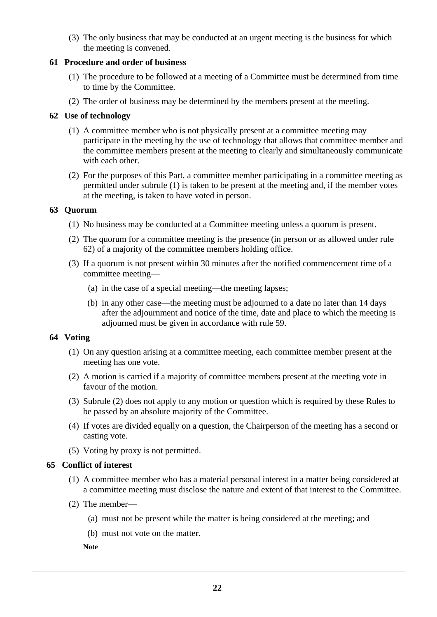(3) The only business that may be conducted at an urgent meeting is the business for which the meeting is convened.

### **61 Procedure and order of business**

- (1) The procedure to be followed at a meeting of a Committee must be determined from time to time by the Committee.
- (2) The order of business may be determined by the members present at the meeting.

### **62 Use of technology**

- (1) A committee member who is not physically present at a committee meeting may participate in the meeting by the use of technology that allows that committee member and the committee members present at the meeting to clearly and simultaneously communicate with each other.
- (2) For the purposes of this Part, a committee member participating in a committee meeting as permitted under subrule (1) is taken to be present at the meeting and, if the member votes at the meeting, is taken to have voted in person.

### **63 Quorum**

- (1) No business may be conducted at a Committee meeting unless a quorum is present.
- (2) The quorum for a committee meeting is the presence (in person or as allowed under rule 62) of a majority of the committee members holding office.
- (3) If a quorum is not present within 30 minutes after the notified commencement time of a committee meeting—
	- (a) in the case of a special meeting—the meeting lapses;
	- (b) in any other case—the meeting must be adjourned to a date no later than 14 days after the adjournment and notice of the time, date and place to which the meeting is adjourned must be given in accordance with rule 59.

### **64 Voting**

- (1) On any question arising at a committee meeting, each committee member present at the meeting has one vote.
- (2) A motion is carried if a majority of committee members present at the meeting vote in favour of the motion.
- (3) Subrule (2) does not apply to any motion or question which is required by these Rules to be passed by an absolute majority of the Committee.
- (4) If votes are divided equally on a question, the Chairperson of the meeting has a second or casting vote.
- (5) Voting by proxy is not permitted.

### **65 Conflict of interest**

- (1) A committee member who has a material personal interest in a matter being considered at a committee meeting must disclose the nature and extent of that interest to the Committee.
- (2) The member—
	- (a) must not be present while the matter is being considered at the meeting; and
	- (b) must not vote on the matter.

**Note**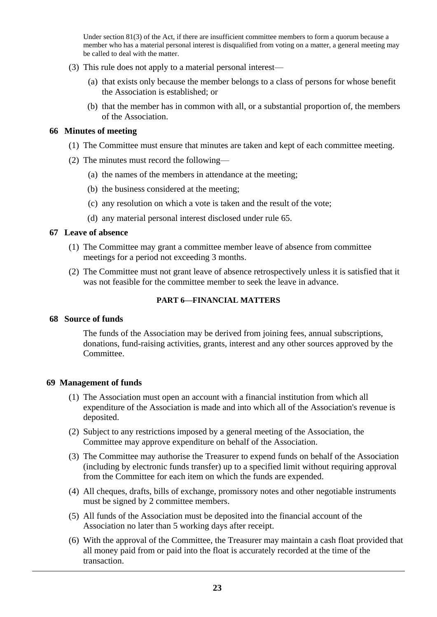Under section 81(3) of the Act, if there are insufficient committee members to form a quorum because a member who has a material personal interest is disqualified from voting on a matter, a general meeting may be called to deal with the matter.

- (3) This rule does not apply to a material personal interest—
	- (a) that exists only because the member belongs to a class of persons for whose benefit the Association is established; or
	- (b) that the member has in common with all, or a substantial proportion of, the members of the Association.

#### **66 Minutes of meeting**

- (1) The Committee must ensure that minutes are taken and kept of each committee meeting.
- (2) The minutes must record the following—
	- (a) the names of the members in attendance at the meeting;
	- (b) the business considered at the meeting;
	- (c) any resolution on which a vote is taken and the result of the vote;
	- (d) any material personal interest disclosed under rule 65.

#### **67 Leave of absence**

- (1) The Committee may grant a committee member leave of absence from committee meetings for a period not exceeding 3 months.
- (2) The Committee must not grant leave of absence retrospectively unless it is satisfied that it was not feasible for the committee member to seek the leave in advance.

#### **PART 6—FINANCIAL MATTERS**

#### **68 Source of funds**

The funds of the Association may be derived from joining fees, annual subscriptions, donations, fund-raising activities, grants, interest and any other sources approved by the Committee.

#### **69 Management of funds**

- (1) The Association must open an account with a financial institution from which all expenditure of the Association is made and into which all of the Association's revenue is deposited.
- (2) Subject to any restrictions imposed by a general meeting of the Association, the Committee may approve expenditure on behalf of the Association.
- (3) The Committee may authorise the Treasurer to expend funds on behalf of the Association (including by electronic funds transfer) up to a specified limit without requiring approval from the Committee for each item on which the funds are expended.
- (4) All cheques, drafts, bills of exchange, promissory notes and other negotiable instruments must be signed by 2 committee members.
- (5) All funds of the Association must be deposited into the financial account of the Association no later than 5 working days after receipt.
- (6) With the approval of the Committee, the Treasurer may maintain a cash float provided that all money paid from or paid into the float is accurately recorded at the time of the transaction.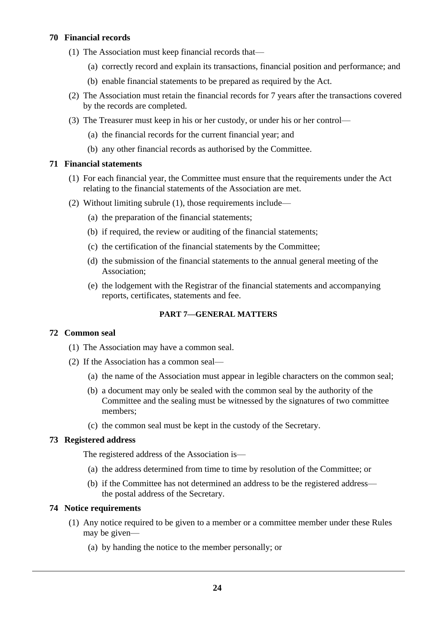### **70 Financial records**

- (1) The Association must keep financial records that—
	- (a) correctly record and explain its transactions, financial position and performance; and
	- (b) enable financial statements to be prepared as required by the Act.
- (2) The Association must retain the financial records for 7 years after the transactions covered by the records are completed.
- (3) The Treasurer must keep in his or her custody, or under his or her control—
	- (a) the financial records for the current financial year; and
	- (b) any other financial records as authorised by the Committee.

### **71 Financial statements**

- (1) For each financial year, the Committee must ensure that the requirements under the Act relating to the financial statements of the Association are met.
- (2) Without limiting subrule (1), those requirements include—
	- (a) the preparation of the financial statements;
	- (b) if required, the review or auditing of the financial statements;
	- (c) the certification of the financial statements by the Committee;
	- (d) the submission of the financial statements to the annual general meeting of the Association;
	- (e) the lodgement with the Registrar of the financial statements and accompanying reports, certificates, statements and fee.

### **PART 7—GENERAL MATTERS**

### **72 Common seal**

- (1) The Association may have a common seal.
- (2) If the Association has a common seal—
	- (a) the name of the Association must appear in legible characters on the common seal;
	- (b) a document may only be sealed with the common seal by the authority of the Committee and the sealing must be witnessed by the signatures of two committee members;
	- (c) the common seal must be kept in the custody of the Secretary.

### **73 Registered address**

The registered address of the Association is—

- (a) the address determined from time to time by resolution of the Committee; or
- (b) if the Committee has not determined an address to be the registered address the postal address of the Secretary.

### **74 Notice requirements**

- (1) Any notice required to be given to a member or a committee member under these Rules may be given—
	- (a) by handing the notice to the member personally; or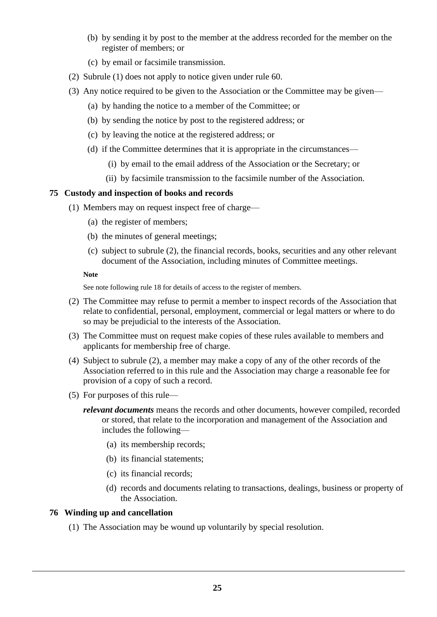- (b) by sending it by post to the member at the address recorded for the member on the register of members; or
- (c) by email or facsimile transmission.
- (2) Subrule (1) does not apply to notice given under rule 60.
- (3) Any notice required to be given to the Association or the Committee may be given—
	- (a) by handing the notice to a member of the Committee; or
	- (b) by sending the notice by post to the registered address; or
	- (c) by leaving the notice at the registered address; or
	- (d) if the Committee determines that it is appropriate in the circumstances—
		- (i) by email to the email address of the Association or the Secretary; or
		- (ii) by facsimile transmission to the facsimile number of the Association.

### **75 Custody and inspection of books and records**

- (1) Members may on request inspect free of charge—
	- (a) the register of members;
	- (b) the minutes of general meetings;
	- (c) subject to subrule (2), the financial records, books, securities and any other relevant document of the Association, including minutes of Committee meetings.

#### **Note**

See note following rule 18 for details of access to the register of members.

- (2) The Committee may refuse to permit a member to inspect records of the Association that relate to confidential, personal, employment, commercial or legal matters or where to do so may be prejudicial to the interests of the Association.
- (3) The Committee must on request make copies of these rules available to members and applicants for membership free of charge.
- (4) Subject to subrule (2), a member may make a copy of any of the other records of the Association referred to in this rule and the Association may charge a reasonable fee for provision of a copy of such a record.
- (5) For purposes of this rule
	- *relevant documents* means the records and other documents, however compiled, recorded or stored, that relate to the incorporation and management of the Association and includes the following—
		- (a) its membership records;
		- (b) its financial statements;
		- (c) its financial records;
		- (d) records and documents relating to transactions, dealings, business or property of the Association.

### **76 Winding up and cancellation**

(1) The Association may be wound up voluntarily by special resolution.